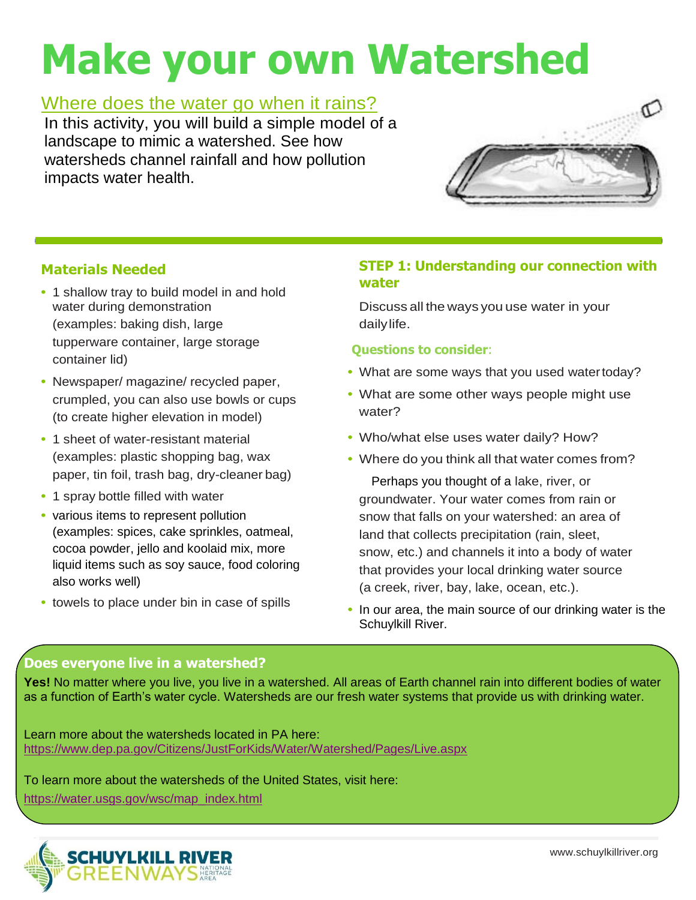# **Make your own Watershed**

## Where does the water go when it rains?

In this activity, you will build a simple model of a landscape to mimic a watershed. See how watersheds channel rainfall and how pollution impacts water health.



## **Materials Needed**

- **•** 1 shallow tray to build model in and hold water during demonstration (examples: baking dish, large tupperware container, large storage container lid)
- **•** Newspaper/ magazine/ recycled paper, crumpled, you can also use bowls or cups (to create higher elevation in model)
- **•** 1 sheet of water-resistant material (examples: plastic shopping bag, wax paper, tin foil, trash bag, dry-cleaner bag)
- **•** 1 spray bottle filled with water
- **•** various items to represent pollution (examples: spices, cake sprinkles, oatmeal, cocoa powder, jello and koolaid mix, more liquid items such as soy sauce, food coloring also works well)
- **•** towels to place under bin in case of spills

## **STEP 1: Understanding our connection with water**

Discuss all the ways you use water in your dailylife.

### **Questions to consider**:

- What are some ways that you used watertoday?
- **•** What are some other ways people might use water?
- **•** Who/what else uses water daily? How?
- **•** Where do you think all that water comes from?

Perhaps you thought of a lake, river, or groundwater. Your water comes from rain or snow that falls on your watershed: an area of land that collects precipitation (rain, sleet, snow, etc.) and channels it into a body of water that provides your local drinking water source (a creek, river, bay, lake, ocean, etc.).

**•** In our area, the main source of our drinking water is the Schuylkill River.

## **Does everyone live in a watershed?**

**Yes!** No matter where you live, you live in a watershed. All areas of Earth channel rain into different bodies of water as a function of Earth's water cycle. Watersheds are our fresh water systems that provide us with drinking water.

Learn more about the watersheds located in PA here: <https://www.dep.pa.gov/Citizens/JustForKids/Water/Watershed/Pages/Live.aspx>

To learn more about the watersheds of the United States, visit here:

[https://water.usgs.gov/wsc/map\\_index.html](https://water.usgs.gov/wsc/map_index.html)